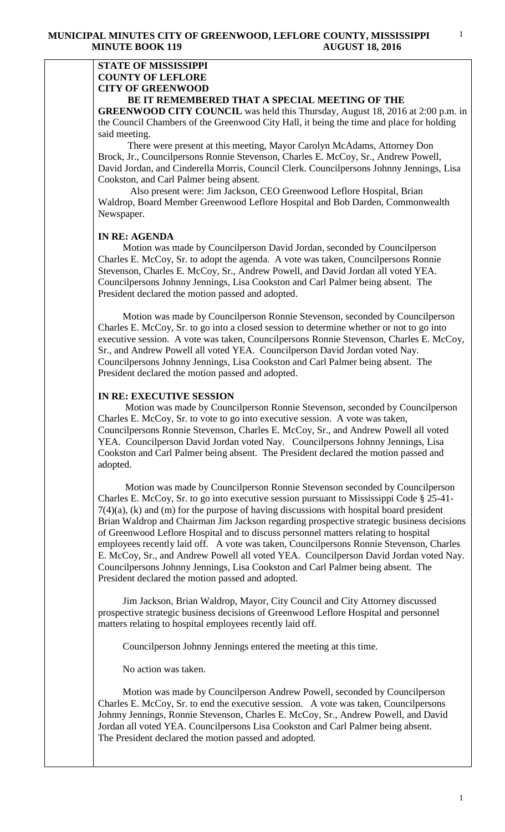## **STATE OF MISSISSIPPI COUNTY OF LEFLORE CITY OF GREENWOOD BE IT REMEMBERED THAT A SPECIAL MEETING OF THE**

**GREENWOOD CITY COUNCIL** was held this Thursday, August 18, 2016 at 2:00 p.m. in the Council Chambers of the Greenwood City Hall, it being the time and place for holding said meeting.

There were present at this meeting, Mayor Carolyn McAdams, Attorney Don Brock, Jr., Councilpersons Ronnie Stevenson, Charles E. McCoy, Sr., Andrew Powell, David Jordan, and Cinderella Morris, Council Clerk. Councilpersons Johnny Jennings, Lisa Cookston, and Carl Palmer being absent.

 Also present were: Jim Jackson, CEO Greenwood Leflore Hospital, Brian Waldrop, Board Member Greenwood Leflore Hospital and Bob Darden, Commonwealth Newspaper.

## **IN RE: AGENDA**

 Motion was made by Councilperson David Jordan, seconded by Councilperson Charles E. McCoy, Sr. to adopt the agenda. A vote was taken, Councilpersons Ronnie Stevenson, Charles E. McCoy, Sr., Andrew Powell, and David Jordan all voted YEA. Councilpersons Johnny Jennings, Lisa Cookston and Carl Palmer being absent. The President declared the motion passed and adopted.

 Motion was made by Councilperson Ronnie Stevenson, seconded by Councilperson Charles E. McCoy, Sr. to go into a closed session to determine whether or not to go into executive session. A vote was taken, Councilpersons Ronnie Stevenson, Charles E. McCoy, Sr., and Andrew Powell all voted YEA. Councilperson David Jordan voted Nay. Councilpersons Johnny Jennings, Lisa Cookston and Carl Palmer being absent. The President declared the motion passed and adopted.

## **IN RE: EXECUTIVE SESSION**

 Motion was made by Councilperson Ronnie Stevenson, seconded by Councilperson Charles E. McCoy, Sr. to vote to go into executive session. A vote was taken, Councilpersons Ronnie Stevenson, Charles E. McCoy, Sr., and Andrew Powell all voted YEA. Councilperson David Jordan voted Nay. Councilpersons Johnny Jennings, Lisa Cookston and Carl Palmer being absent. The President declared the motion passed and adopted.

 Motion was made by Councilperson Ronnie Stevenson seconded by Councilperson Charles E. McCoy, Sr. to go into executive session pursuant to Mississippi Code § 25-41- 7(4)(a), (k) and (m) for the purpose of having discussions with hospital board president Brian Waldrop and Chairman Jim Jackson regarding prospective strategic business decisions of Greenwood Leflore Hospital and to discuss personnel matters relating to hospital employees recently laid off. A vote was taken, Councilpersons Ronnie Stevenson, Charles E. McCoy, Sr., and Andrew Powell all voted YEA. Councilperson David Jordan voted Nay. Councilpersons Johnny Jennings, Lisa Cookston and Carl Palmer being absent. The President declared the motion passed and adopted.

 Jim Jackson, Brian Waldrop, Mayor, City Council and City Attorney discussed prospective strategic business decisions of Greenwood Leflore Hospital and personnel matters relating to hospital employees recently laid off.

Councilperson Johnny Jennings entered the meeting at this time.

No action was taken.

 Motion was made by Councilperson Andrew Powell, seconded by Councilperson Charles E. McCoy, Sr. to end the executive session. A vote was taken, Councilpersons Johnny Jennings, Ronnie Stevenson, Charles E. McCoy, Sr., Andrew Powell, and David Jordan all voted YEA. Councilpersons Lisa Cookston and Carl Palmer being absent. The President declared the motion passed and adopted.